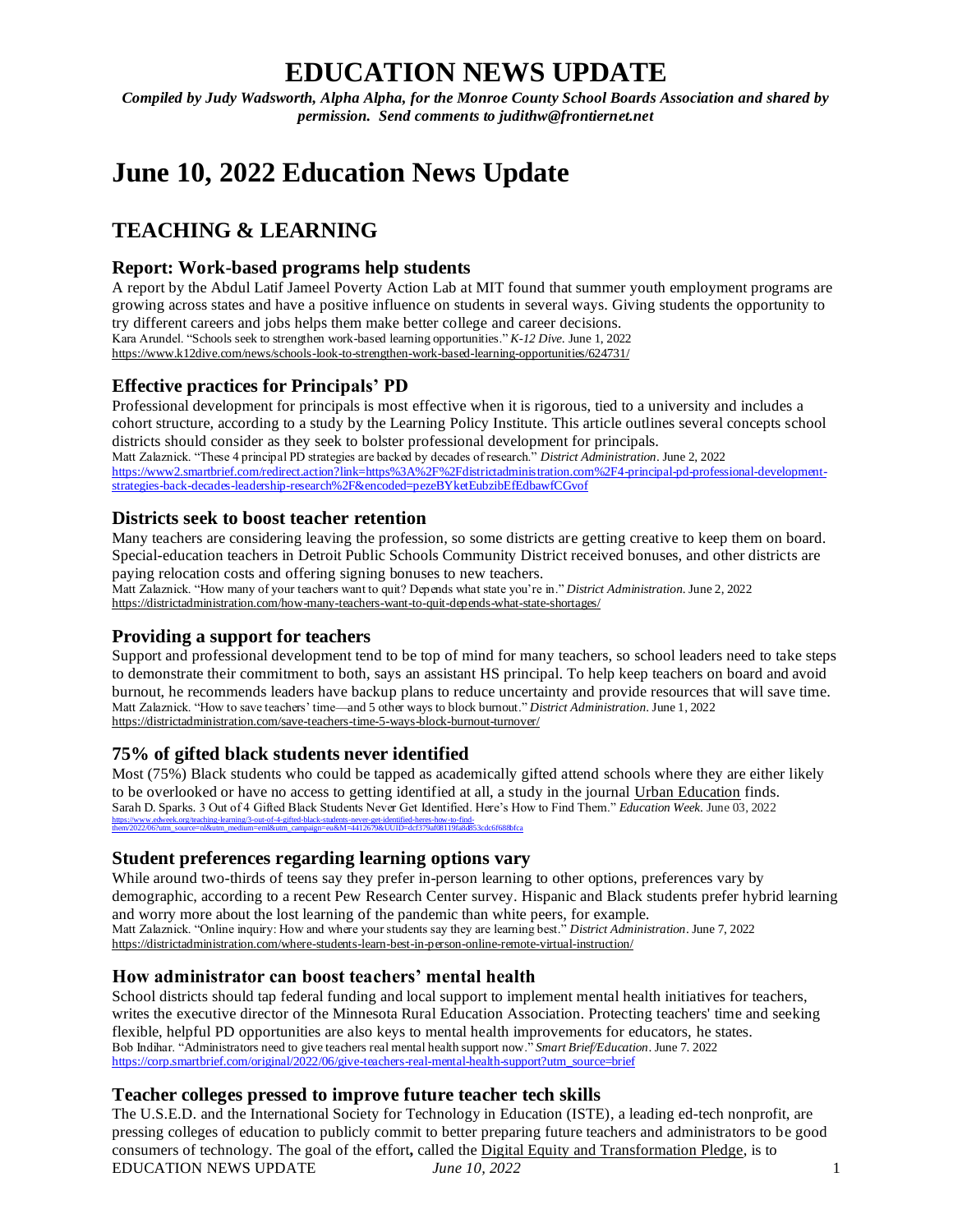# **EDUCATION NEWS UPDATE**

*Compiled by Judy Wadsworth, Alpha Alpha, for the Monroe County School Boards Association and shared by permission. Send comments to judithw@frontiernet.net*

# **June 10, 2022 Education News Update**

# **TEACHING & LEARNING**

# **Report: Work-based programs help students**

A report by the Abdul Latif Jameel Poverty Action Lab at MIT found that summer youth employment programs are growing across states and have a positive influence on students in several ways. Giving students the opportunity to try different careers and jobs helps them make better college and career decisions. Kara Arundel. "Schools seek to strengthen work-based learning opportunities." *K-12 Dive*. June 1, 2022 <https://www.k12dive.com/news/schools-look-to-strengthen-work-based-learning-opportunities/624731/>

# **Effective practices for Principals' PD**

Professional development for principals is most effective when it is rigorous, tied to a university and includes a cohort structure, according to a study by the Learning Policy Institute. This article outlines several concepts school districts should consider as they seek to bolster professional development for principals. Matt Zalaznick. "These 4 principal PD strategies are backed by decades of research." *District Administration*. June 2, 2022 [https://www2.smartbrief.com/redirect.action?link=https%3A%2F%2Fdistrictadministration.com%2F4-principal-pd-professional-development](https://www2.smartbrief.com/redirect.action?link=https%3A%2F%2Fdistrictadministration.com%2F4-principal-pd-professional-development-strategies-back-decades-leadership-research%2F&encoded=pezeBYketEubzibEfEdbawfCGvof)[strategies-back-decades-leadership-research%2F&encoded=pezeBYketEubzibEfEdbawfCGvof](https://www2.smartbrief.com/redirect.action?link=https%3A%2F%2Fdistrictadministration.com%2F4-principal-pd-professional-development-strategies-back-decades-leadership-research%2F&encoded=pezeBYketEubzibEfEdbawfCGvof)

### **Districts seek to boost teacher retention**

Many teachers are considering leaving the profession, so some districts are getting creative to keep them on board. Special-education teachers in Detroit Public Schools Community District received bonuses, and other districts are paying relocation costs and offering signing bonuses to new teachers.

Matt Zalaznick. "How many of your teachers want to quit? Depends what state you're in." *District Administration*. June 2, 2022 <https://districtadministration.com/how-many-teachers-want-to-quit-depends-what-state-shortages/>

# **Providing a support for teachers**

Support and professional development tend to be top of mind for many teachers, so school leaders need to take steps to demonstrate their commitment to both, says an assistant HS principal. To help keep teachers on board and avoid burnout, he recommends leaders have backup plans to reduce uncertainty and provide resources that will save time. Matt Zalaznick. "How to save teachers' time—and 5 other ways to block burnout." *District Administration*. June 1, 2022 <https://districtadministration.com/save-teachers-time-5-ways-block-burnout-turnover/>

# **75% of gifted black students never identified**

Most (75%) Black students who could be tapped as academically gifted attend schools where they are either likely to be overlooked or have no access to getting identified at all, a study in the journal [Urban Education](https://journals.sagepub.com/doi/abs/10.1177/00420859221095000) finds. Sarah D. Sparks. 3 Out of 4 Gifted Black Students Never Get Identified. Here's How to Find Them." *Education Week*. June 03, 2022 [https://www.edweek.org/teaching-learning/3-out-of-4-gifted-black-students-never-get-identified-heres-how-to-find-](https://www.edweek.org/teaching-learning/3-out-of-4-gifted-black-students-never-get-identified-heres-how-to-find-them/2022/06?utm_source=nl&utm_medium=eml&utm_campaign=eu&M=4412679&UUID=dcf379af08119fa8d853cdc6f688bfca)[them/2022/06?utm\\_source=nl&utm\\_medium=eml&utm\\_campaign=eu&M=4412679&UUID=dcf379af08119fa8d853cdc6f688bfca](https://www.edweek.org/teaching-learning/3-out-of-4-gifted-black-students-never-get-identified-heres-how-to-find-them/2022/06?utm_source=nl&utm_medium=eml&utm_campaign=eu&M=4412679&UUID=dcf379af08119fa8d853cdc6f688bfca)

#### **Student preferences regarding learning options vary**

While around two-thirds of teens say they prefer in-person learning to other options, preferences vary by demographic, according to a recent Pew Research Center survey. Hispanic and Black students prefer hybrid learning and worry more about the lost learning of the pandemic than white peers, for example. Matt Zalaznick. "Online inquiry: How and where your students say they are learning best." *District Administration*. June 7, 2022 <https://districtadministration.com/where-students-learn-best-in-person-online-remote-virtual-instruction/>

# **How administrator can boost teachers' mental health**

School districts should tap federal funding and local support to implement mental health initiatives for teachers, writes the executive director of the Minnesota Rural Education Association. Protecting teachers' time and seeking flexible, helpful PD opportunities are also keys to mental health improvements for educators, he states. Bob Indihar. "Administrators need to give teachers real mental health support now." *Smart Brief/Education*. June 7. 2022 [https://corp.smartbrief.com/original/2022/06/give-teachers-real-mental-health-support?utm\\_source=brief](https://corp.smartbrief.com/original/2022/06/give-teachers-real-mental-health-support?utm_source=brief)

# **Teacher colleges pressed to improve future teacher tech skills**

EDUCATION NEWS UPDATE *June 10, 2022* 1 The U.S.E.D. and the International Society for Technology in Education (ISTE), a leading ed-tech nonprofit, are pressing colleges of education to publicly commit to better preparing future teachers and administrators to be good consumers of technology. The goal of the effort**,** called the [Digital Equity and Transformation Pledge,](https://www.iste.org/EPP-pledge) is to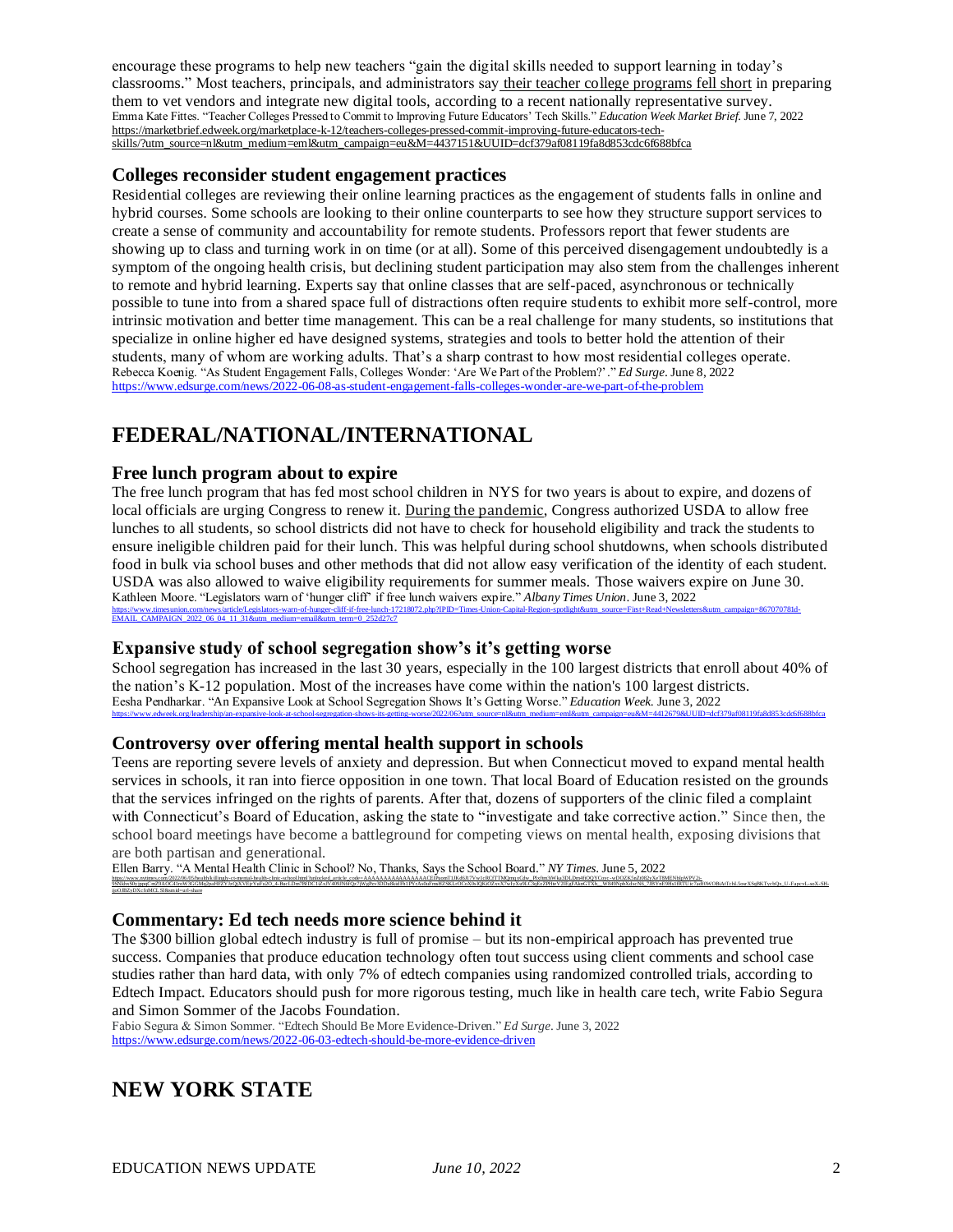encourage these programs to help new teachers "gain the digital skills needed to support learning in today's classrooms." Most teachers, principals, and administrators say [their teacher college programs fell short](https://marketbrief.edweek.org/exclusive-data/educators-dont-feel-prepared-buy-ed-tech-products-heres-matters-vendors/) in preparing them to vet vendors and integrate new digital tools, according to a recent nationally representative survey. Emma Kate Fittes. "Teacher Colleges Pressed to Commit to Improving Future Educators' Tech Skills." *Education Week Market Brief*. June 7, 2022 [https://marketbrief.edweek.org/marketplace-k-12/teachers-colleges-pressed-commit-improving-future-educators-tech](https://marketbrief.edweek.org/marketplace-k-12/teachers-colleges-pressed-commit-improving-future-educators-tech-skills/?utm_source=nl&utm_medium=eml&utm_campaign=eu&M=4437151&UUID=dcf379af08119fa8d853cdc6f688bfca)[skills/?utm\\_source=nl&utm\\_medium=eml&utm\\_campaign=eu&M=4437151&UUID=dcf379af08119fa8d853cdc6f688bfca](https://marketbrief.edweek.org/marketplace-k-12/teachers-colleges-pressed-commit-improving-future-educators-tech-skills/?utm_source=nl&utm_medium=eml&utm_campaign=eu&M=4437151&UUID=dcf379af08119fa8d853cdc6f688bfca)

#### **Colleges reconsider student engagement practices**

Residential colleges are reviewing their online learning practices as the engagement of students falls in online and hybrid courses. Some schools are looking to their online counterparts to see how they structure support services to create a sense of community and accountability for remote students. Professors report that fewer students are showing up to class and turning work in on time (or at all). Some of this perceived disengagement undoubtedly is a symptom of the ongoing health crisis, but declining student participation may also stem from the challenges inherent to remote and hybrid learning. Experts say that online classes that are self-paced, asynchronous or technically possible to tune into from a shared space full of distractions often require students to exhibit more self-control, more intrinsic motivation and better time management. This can be a real challenge for many students, so institutions that specialize in online higher ed have designed systems, strategies and tools to better hold the attention of their students, many of whom are working adults. That's a sharp contrast to how most residential colleges operate. Rebecca Koenig. "As Student Engagement Falls, Colleges Wonder: 'Are We Part of the Problem?'." *Ed Surge*. June 8, 2022 <https://www.edsurge.com/news/2022-06-08-as-student-engagement-falls-colleges-wonder-are-we-part-of-the-problem>

# **FEDERAL/NATIONAL/INTERNATIONAL**

#### **Free lunch program about to expire**

The free lunch program that has fed most school children in NYS for two years is about to expire, and dozens of local officials are urging Congress to renew it. [During the pandemic](https://www.timesunion.com/news/article/All-school-meals-are-still-free-for-now-15577551.php), Congress authorized USDA to allow free lunches to all students, so school districts did not have to check for household eligibility and track the students to ensure ineligible children paid for their lunch. This was helpful during school shutdowns, when schools distributed food in bulk via school buses and other methods that did not allow easy verification of the identity of each student. USDA was also allowed to waive eligibility requirements for summer meals. Those waivers expire on June 30. Kathleen Moore. "Legislators warn of 'hunger cliff' if free lunch waivers expire." *Albany Times Union*. June 3, 2022 [https://www.timesunion.com/news/article/Legislators-warn-of-hunger-cliff-if-free-lunch-17218072.php?IPID=Times-Union-Capital-Region-spotlight&utm\\_source=First+Read+Newsletters&utm\\_campaign=867070781d-](https://www.timesunion.com/news/article/Legislators-warn-of-hunger-cliff-if-free-lunch-17218072.php?IPID=Times-Union-Capital-Region-spotlight&utm_source=First+Read+Newsletters&utm_campaign=867070781d-EMAIL_CAMPAIGN_2022_06_04_11_31&utm_medium=email&utm_term=0_252d27c7)[EMAIL\\_CAMPAIGN\\_2022\\_06\\_04\\_11\\_31&utm\\_medium=email&utm\\_term=0\\_252d27c7](https://www.timesunion.com/news/article/Legislators-warn-of-hunger-cliff-if-free-lunch-17218072.php?IPID=Times-Union-Capital-Region-spotlight&utm_source=First+Read+Newsletters&utm_campaign=867070781d-EMAIL_CAMPAIGN_2022_06_04_11_31&utm_medium=email&utm_term=0_252d27c7)

#### **Expansive study of school segregation show's it's getting worse**

School segregation has increased in the last 30 years, especially in the 100 largest districts that enroll about 40% of the nation's K-12 population. Most of the increases have come within the nation's 100 largest districts. Eesha Pendharkar. "An Expansive Look at School Segregation Shows It's Getting Worse." *Education Week*. June 3, 2022 [https://www.edweek.org/leadership/an-expansive-look-at-school-segregation-shows-its-getting-worse/2022/06?utm\\_source=nl&utm\\_medium=eml&utm\\_campaign=eu&M=4412679&UUID=dcf379af08119fa8d853cdc6f688bfca](https://www.edweek.org/leadership/an-expansive-look-at-school-segregation-shows-its-getting-worse/2022/06?utm_source=nl&utm_medium=eml&utm_campaign=eu&M=4412679&UUID=dcf379af08119fa8d853cdc6f688bfca)

#### **Controversy over offering mental health support in schools**

Teens are reporting severe levels of anxiety and depression. But when Connecticut moved to expand mental health services in schools, it ran into fierce opposition in one town. That local Board of Education resisted on the grounds that the services infringed on the rights of parents. After that, dozens of supporters of the clinic filed a complaint with Connecticut's Board of Education, asking the state to "investigate and take corrective action." Since then, the school board meetings have become a battleground for competing views on mental health, exposing divisions that are both partisan and generational.

9SNkhxS0vjppaCpaZ9AOC41roW3GGMa2paHFZYIzOiXVEirYuFu2O+4-BucLDm7BfDC1iZxJV409JN6fOz7iWePzv3DDu8kidFh1PYrAs0uFmsHZSKLrOCoX0kJ0KiOZxyX7wJvXu9LC3oEzZPHteV2IEsFAknGTXh W849NpbXdscN6-7JBYnE9Hs1fRTUjc7adf0WOBiAtTchL5osrXSaBKTvcbO

Ellen Barry. "A Mental Health Clinic in School? No, Thanks, Says the School Board." *NY Times*. June 5, 2022 [https://www.nytimes.com/2022/06/05/health/killingly-ct-mental-health-clinic-school.html?unlocked\\_article\\_code=AAAAAAAAAAAAAAAACEIPuomT1JKd6J17Vw1cRCfTTMQmqxCdw\\_PIxftm3iWka3DLDm4fiOQYCoyc](https://www.nytimes.com/2022/06/05/health/killingly-ct-mental-health-clinic-school.html?unlocked_article_code=AAAAAAAAAAAAAAAACEIPuomT1JKd6J17Vw1cRCfTTMQmqxCdw_PIxftm3iWka3DLDm4fiOQYCoyc-wDOZK5nZt082yXeT8MENbIpWPV2i-9SNkhxS0yjppqCmZ9AOC41roW3GGMq2paHFZYJzQjXVEjrYuFu2O_4-BucLDm7BfDC1iZxJV409JN6fQz7jWgPzv3DDu8kidFh1PYrAs0uFmsHZSKLrOCoX0slQKiOZxvX7wIyXu9LC3qEzZPHteV2IEgFAknGTXh__W849NpbXdscN6_7JBYnE9Hs1fRTUic7adf0WOBiAtTchL5osrXSqBKTycbQx_U-FapcvL-soX-SH-ijoOJBZyDXcfnMCLSI&smid=url-share) -wDOZK5nZt082yXeT8MENbIpWPV2i-

#### **Commentary: Ed tech needs more science behind it**

The \$300 billion global edtech industry is full of promise – but its non-empirical approach has prevented true success. Companies that produce education technology often tout success using client comments and school case studies rather than hard data, with only 7% of edtech companies using randomized controlled trials, according to Edtech Impact. Educators should push for more rigorous testing, much like in health care tech, write Fabio Segura and Simon Sommer of the Jacobs Foundation.

Fabio Segura & Simon Sommer. "Edtech Should Be More Evidence-Driven." *Ed Surge*. June 3, 2022 <https://www.edsurge.com/news/2022-06-03-edtech-should-be-more-evidence-driven>

# **NEW YORK STATE**

[ijoOJBZyDXcfnMCL SI&smid=url-share](https://www.nytimes.com/2022/06/05/health/killingly-ct-mental-health-clinic-school.html?unlocked_article_code=AAAAAAAAAAAAAAAACEIPuomT1JKd6J17Vw1cRCfTTMQmqxCdw_PIxftm3iWka3DLDm4fiOQYCoyc-wDOZK5nZt082yXeT8MENbIpWPV2i-9SNkhxS0yjppqCmZ9AOC41roW3GGMq2paHFZYJzQjXVEjrYuFu2O_4-BucLDm7BfDC1iZxJV409JN6fQz7jWgPzv3DDu8kidFh1PYrAs0uFmsHZSKLrOCoX0slQKiOZxvX7wIyXu9LC3qEzZPHteV2IEgFAknGTXh__W849NpbXdscN6_7JBYnE9Hs1fRTUic7adf0WOBiAtTchL5osrXSqBKTycbQx_U-FapcvL-soX-SH-ijoOJBZyDXcfnMCLSI&smid=url-share)